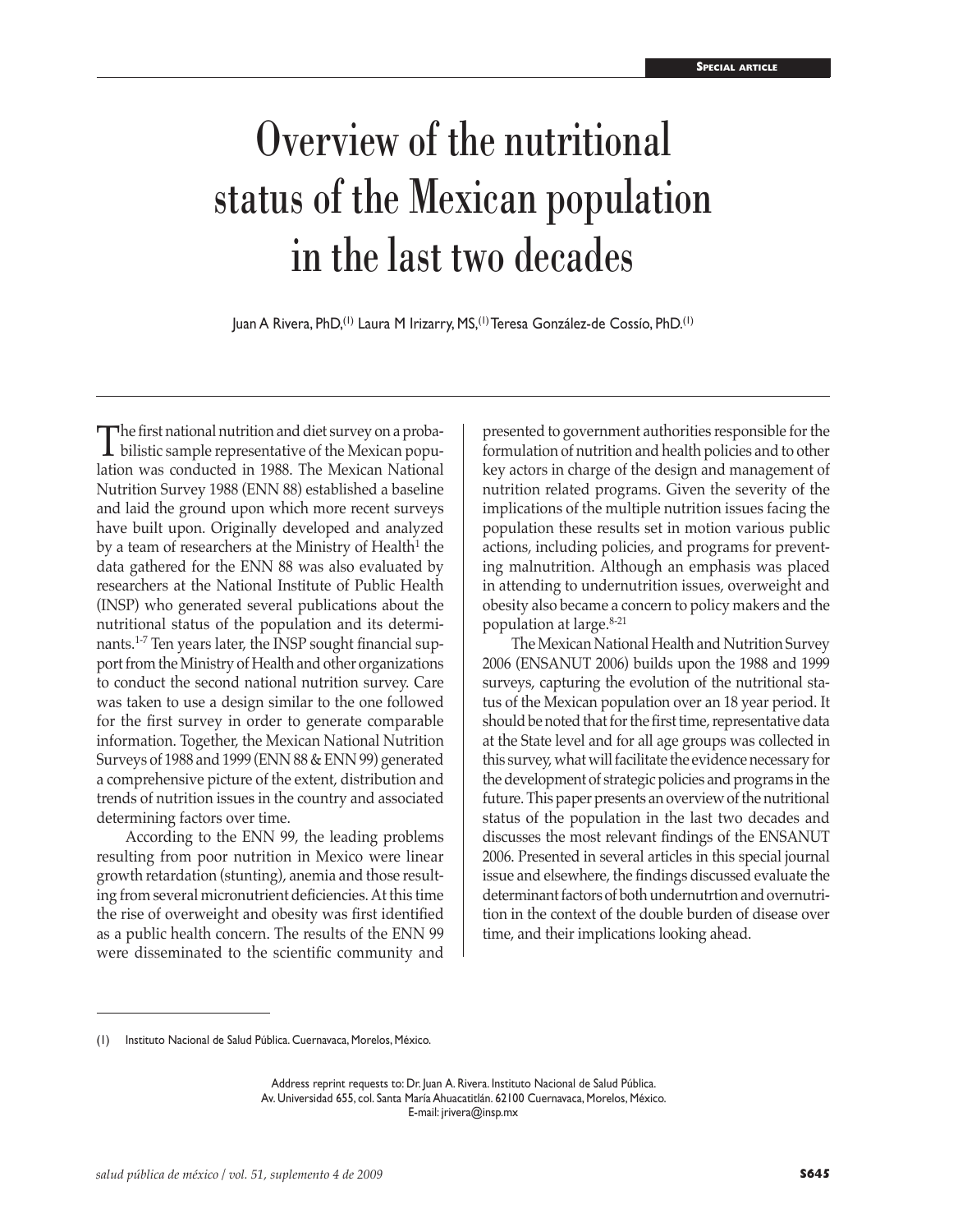# Overview of the nutritional status of the Mexican population in the last two decades

Juan A Rivera, PhD,(1) Laura M Irizarry, MS,(1) Teresa González-de Cossío, PhD.(1)

The first national nutrition and diet survey on a proba-<br>bilistic sample representative of the Mexican popu-<br>lation was conducted in 1088. The Mexican National lation was conducted in 1988. The Mexican National Nutrition Survey 1988 (ENN 88) established a baseline and laid the ground upon which more recent surveys have built upon. Originally developed and analyzed by a team of researchers at the Ministry of Health<sup>1</sup> the data gathered for the ENN 88 was also evaluated by researchers at the National Institute of Public Health (INSP) who generated several publications about the nutritional status of the population and its determinants.<sup>1-7</sup> Ten years later, the INSP sought financial support from the Ministry of Health and other organizations to conduct the second national nutrition survey. Care was taken to use a design similar to the one followed for the first survey in order to generate comparable information. Together, the Mexican National Nutrition Surveys of 1988 and 1999 (ENN 88 & ENN 99) generated a comprehensive picture of the extent, distribution and trends of nutrition issues in the country and associated determining factors over time.

According to the ENN 99, the leading problems resulting from poor nutrition in Mexico were linear growth retardation (stunting), anemia and those resulting from several micronutrient deficiencies. At this time the rise of overweight and obesity was first identified as a public health concern. The results of the ENN 99 were disseminated to the scientific community and

presented to government authorities responsible for the formulation of nutrition and health policies and to other key actors in charge of the design and management of nutrition related programs. Given the severity of the implications of the multiple nutrition issues facing the population these results set in motion various public actions, including policies, and programs for preventing malnutrition. Although an emphasis was placed in attending to undernutrition issues, overweight and obesity also became a concern to policy makers and the population at large.8-21

The Mexican National Health and Nutrition Survey 2006 (ENSANUT 2006) builds upon the 1988 and 1999 surveys, capturing the evolution of the nutritional status of the Mexican population over an 18 year period. It should be noted that for the first time, representative data at the State level and for all age groups was collected in this survey, what will facilitate the evidence necessary for the development of strategic policies and programs in the future. This paper presents an overview of the nutritional status of the population in the last two decades and discusses the most relevant findings of the ENSANUT 2006. Presented in several articles in this special journal issue and elsewhere, the findings discussed evaluate the determinant factors of both undernutrtion and overnutrition in the context of the double burden of disease over time, and their implications looking ahead.

<sup>(1)</sup> Instituto Nacional de Salud Pública. Cuernavaca, Morelos, México.

Address reprint requests to: Dr. Juan A. Rivera. Instituto Nacional de Salud Pública. Av. Universidad 655, col. Santa María Ahuacatitlán. 62100 Cuernavaca, Morelos, México. E-mail: jrivera@insp.mx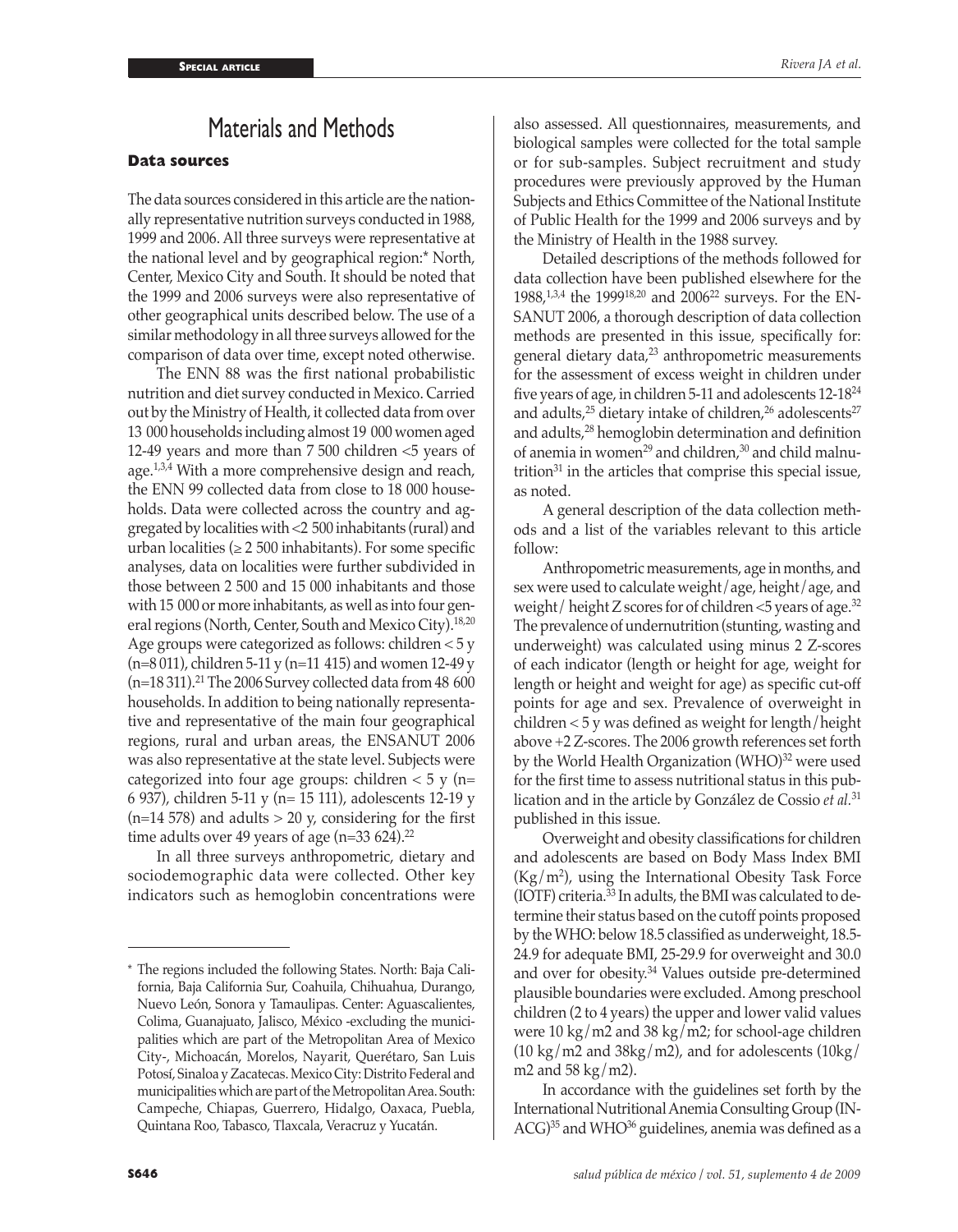# Materials and Methods

## **Data sources**

The data sources considered in this article are the nationally representative nutrition surveys conducted in 1988, 1999 and 2006. All three surveys were representative at the national level and by geographical region:\* North, Center, Mexico City and South. It should be noted that the 1999 and 2006 surveys were also representative of other geographical units described below. The use of a similar methodology in all three surveys allowed for the comparison of data over time, except noted otherwise.

The ENN 88 was the first national probabilistic nutrition and diet survey conducted in Mexico. Carried out by the Ministry of Health, it collected data from over 13 000 households including almost 19 000 women aged 12-49 years and more than 7 500 children <5 years of age.1,3,4 With a more comprehensive design and reach, the ENN 99 collected data from close to 18 000 households. Data were collected across the country and aggregated by localities with <2 500 inhabitants (rural) and urban localities ( $\geq 2500$  inhabitants). For some specific analyses, data on localities were further subdivided in those between 2 500 and 15 000 inhabitants and those with 15 000 or more inhabitants, as well as into four general regions (North, Center, South and Mexico City).<sup>18,20</sup> Age groups were categorized as follows: children < 5 y (n=8 011), children 5-11 y (n=11 415) and women 12-49 y  $(n=18311).<sup>21</sup>$  The 2006 Survey collected data from 48 600 households. In addition to being nationally representative and representative of the main four geographical regions, rural and urban areas, the ENSANUT 2006 was also representative at the state level. Subjects were categorized into four age groups: children  $<$  5 y (n= 6 937), children 5-11 y (n= 15 111), adolescents 12-19 y  $(n=14 578)$  and adults  $> 20 y$ , considering for the first time adults over 49 years of age (n=33 624).<sup>22</sup>

In all three surveys anthropometric, dietary and sociodemographic data were collected. Other key indicators such as hemoglobin concentrations were

also assessed. All questionnaires, measurements, and biological samples were collected for the total sample or for sub-samples. Subject recruitment and study procedures were previously approved by the Human Subjects and Ethics Committee of the National Institute of Public Health for the 1999 and 2006 surveys and by the Ministry of Health in the 1988 survey.

Detailed descriptions of the methods followed for data collection have been published elsewhere for the 1988,<sup>1,3,4</sup> the 1999<sup>18,20</sup> and 2006<sup>22</sup> surveys. For the EN-SANUT 2006, a thorough description of data collection methods are presented in this issue, specifically for: general dietary data, $23$  anthropometric measurements for the assessment of excess weight in children under five years of age, in children 5-11 and adolescents 12-1824 and adults, $25$  dietary intake of children, $26$  adolescents $27$ and adults,28 hemoglobin determination and definition of anemia in women<sup>29</sup> and children,<sup>30</sup> and child malnutrition $31$  in the articles that comprise this special issue, as noted.

A general description of the data collection methods and a list of the variables relevant to this article follow:

Anthropometric measurements, age in months, and sex were used to calculate weight/age, height/age, and weight / height Z scores for of children  $<$ 5 years of age.<sup>32</sup> The prevalence of undernutrition (stunting, wasting and underweight) was calculated using minus 2 Z-scores of each indicator (length or height for age, weight for length or height and weight for age) as specific cut-off points for age and sex. Prevalence of overweight in children < 5 y was defined as weight for length/height above +2 Z-scores. The 2006 growth references set forth by the World Health Organization (WHO)<sup>32</sup> were used for the first time to assess nutritional status in this publication and in the article by González de Cossio *et al.*<sup>31</sup> published in this issue.

Overweight and obesity classifications for children and adolescents are based on Body Mass Index BMI  $(Kg/m<sup>2</sup>)$ , using the International Obesity Task Force (IOTF) criteria.33 In adults, the BMI was calculated to determine their status based on the cutoff points proposed by the WHO: below 18.5 classified as underweight, 18.5- 24.9 for adequate BMI, 25-29.9 for overweight and 30.0 and over for obesity.34 Values outside pre-determined plausible boundaries were excluded. Among preschool children (2 to 4 years) the upper and lower valid values were  $10 \text{ kg/m2}$  and  $38 \text{ kg/m2}$ ; for school-age children  $(10 \text{ kg/m2}$  and  $38 \text{ kg/m2}$ ), and for adolescents  $(10 \text{ kg/m2})$ m2 and  $58 \text{ kg/m2}$ ).

In accordance with the guidelines set forth by the International Nutritional Anemia Consulting Group (IN- $ACG$ <sup>35</sup> and WHO<sup>36</sup> guidelines, anemia was defined as a

<sup>\*</sup> The regions included the following States. North: Baja California, Baja California Sur, Coahuila, Chihuahua, Durango, Nuevo León, Sonora y Tamaulipas. Center: Aguascalientes, Colima, Guanajuato, Jalisco, México -excluding the municipalities which are part of the Metropolitan Area of Mexico City-, Michoacán, Morelos, Nayarit, Querétaro, San Luis Potosí, Sinaloa y Zacatecas. Mexico City: Distrito Federal and municipalities which are part of the Metropolitan Area. South: Campeche, Chiapas, Guerrero, Hidalgo, Oaxaca, Puebla, Quintana Roo, Tabasco, Tlaxcala, Veracruz y Yucatán.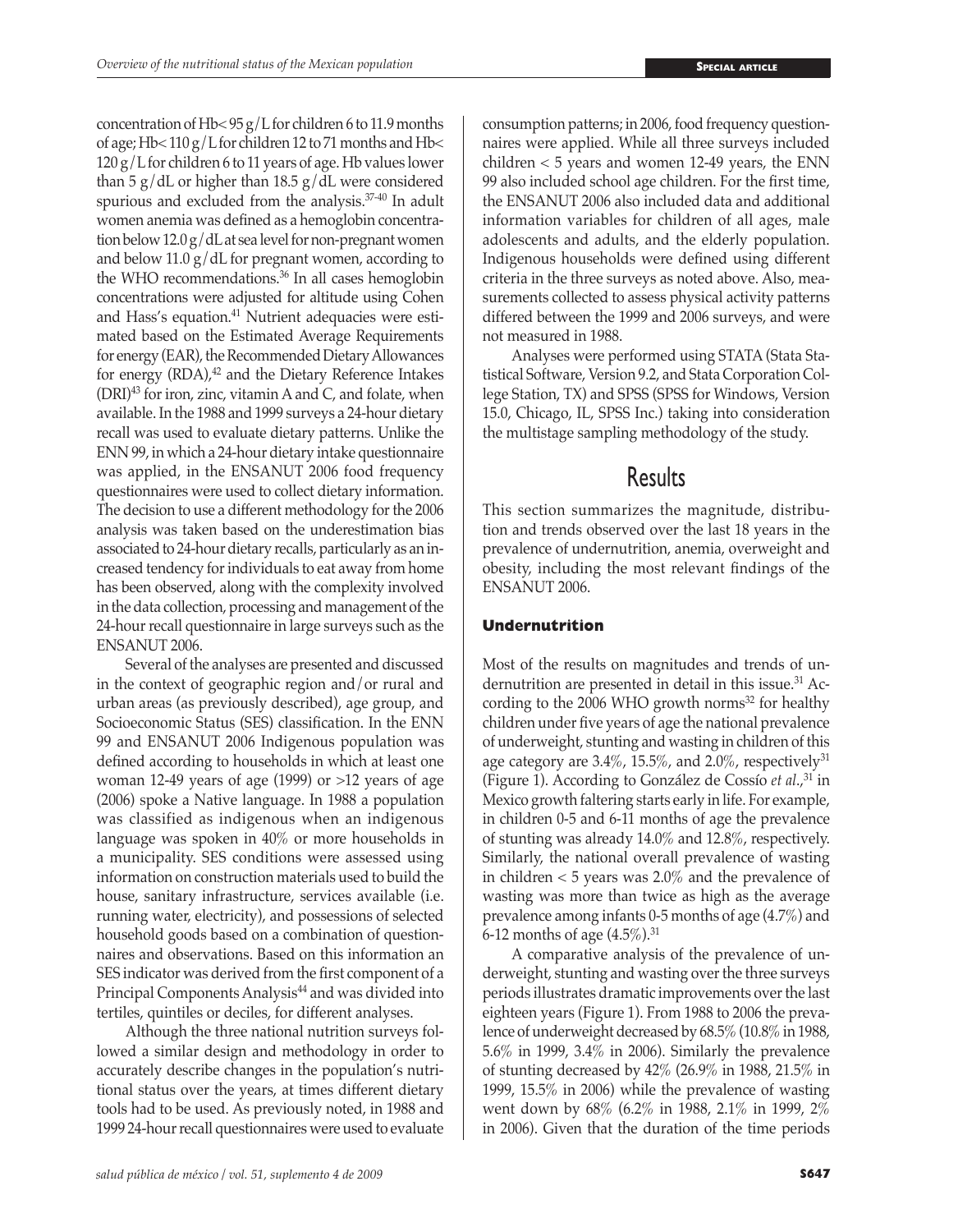concentration of Hb<  $95 g/L$  for children 6 to 11.9 months of age; Hb $\leq$  110 g/L for children 12 to 71 months and Hb $\leq$  $120 g/L$  for children 6 to 11 years of age. Hb values lower than 5  $g/dL$  or higher than 18.5  $g/dL$  were considered spurious and excluded from the analysis.37-40 In adult women anemia was defined as a hemoglobin concentration below  $12.0 g/dL$  at sea level for non-pregnant women and below 11.0  $g/dL$  for pregnant women, according to the WHO recommendations.36 In all cases hemoglobin concentrations were adjusted for altitude using Cohen and Hass's equation.41 Nutrient adequacies were estimated based on the Estimated Average Requirements for energy (EAR), the Recommended Dietary Allowances for energy  $(RDA)$ ,<sup>42</sup> and the Dietary Reference Intakes  $(DRI)^{43}$  for iron, zinc, vitamin A and C, and folate, when available. In the 1988 and 1999 surveys a 24-hour dietary recall was used to evaluate dietary patterns. Unlike the ENN 99, in which a 24-hour dietary intake questionnaire was applied, in the ENSANUT 2006 food frequency questionnaires were used to collect dietary information. The decision to use a different methodology for the 2006 analysis was taken based on the underestimation bias associated to 24-hour dietary recalls, particularly as an increased tendency for individuals to eat away from home has been observed, along with the complexity involved in the data collection, processing and management of the 24-hour recall questionnaire in large surveys such as the ENSANUT 2006.

Several of the analyses are presented and discussed in the context of geographic region and/or rural and urban areas (as previously described), age group, and Socioeconomic Status (SES) classification. In the ENN 99 and ENSANUT 2006 Indigenous population was defined according to households in which at least one woman 12-49 years of age (1999) or >12 years of age (2006) spoke a Native language. In 1988 a population was classified as indigenous when an indigenous language was spoken in 40% or more households in a municipality. SES conditions were assessed using information on construction materials used to build the house, sanitary infrastructure, services available (i.e. running water, electricity), and possessions of selected household goods based on a combination of questionnaires and observations. Based on this information an SES indicator was derived from the first component of a Principal Components Analysis<sup>44</sup> and was divided into tertiles, quintiles or deciles, for different analyses.

Although the three national nutrition surveys followed a similar design and methodology in order to accurately describe changes in the population's nutritional status over the years, at times different dietary tools had to be used. As previously noted, in 1988 and 1999 24-hour recall questionnaires were used to evaluate

consumption patterns; in 2006, food frequency questionnaires were applied. While all three surveys included children < 5 years and women 12-49 years, the ENN 99 also included school age children. For the first time, the ENSANUT 2006 also included data and additional information variables for children of all ages, male adolescents and adults, and the elderly population. Indigenous households were defined using different criteria in the three surveys as noted above. Also, measurements collected to assess physical activity patterns differed between the 1999 and 2006 surveys, and were not measured in 1988.

Analyses were performed using STATA (Stata Statistical Software, Version 9.2, and Stata Corporation College Station, TX) and SPSS (SPSS for Windows, Version 15.0, Chicago, IL, SPSS Inc.) taking into consideration the multistage sampling methodology of the study.

## **Results**

This section summarizes the magnitude, distribution and trends observed over the last 18 years in the prevalence of undernutrition, anemia, overweight and obesity, including the most relevant findings of the ENSANUT 2006.

## **Undernutrition**

Most of the results on magnitudes and trends of undernutrition are presented in detail in this issue.<sup>31</sup> According to the 2006 WHO growth norms $32$  for healthy children under five years of age the national prevalence of underweight, stunting and wasting in children of this age category are  $3.4\%$ ,  $15.5\%$ , and  $2.0\%$ , respectively<sup>31</sup> (Figure 1). According to González de Cossío *et al.*,<sup>31</sup> in Mexico growth faltering starts early in life. For example, in children 0-5 and 6-11 months of age the prevalence of stunting was already 14.0% and 12.8%, respectively. Similarly, the national overall prevalence of wasting in children < 5 years was 2.0% and the prevalence of wasting was more than twice as high as the average prevalence among infants 0-5 months of age (4.7%) and 6-12 months of age  $(4.5\%)$ .<sup>31</sup>

A comparative analysis of the prevalence of underweight, stunting and wasting over the three surveys periods illustrates dramatic improvements over the last eighteen years (Figure 1). From 1988 to 2006 the prevalence of underweight decreased by 68.5% (10.8% in 1988, 5.6% in 1999, 3.4% in 2006). Similarly the prevalence of stunting decreased by 42% (26.9% in 1988, 21.5% in 1999, 15.5% in 2006) while the prevalence of wasting went down by 68% (6.2% in 1988, 2.1% in 1999, 2% in 2006). Given that the duration of the time periods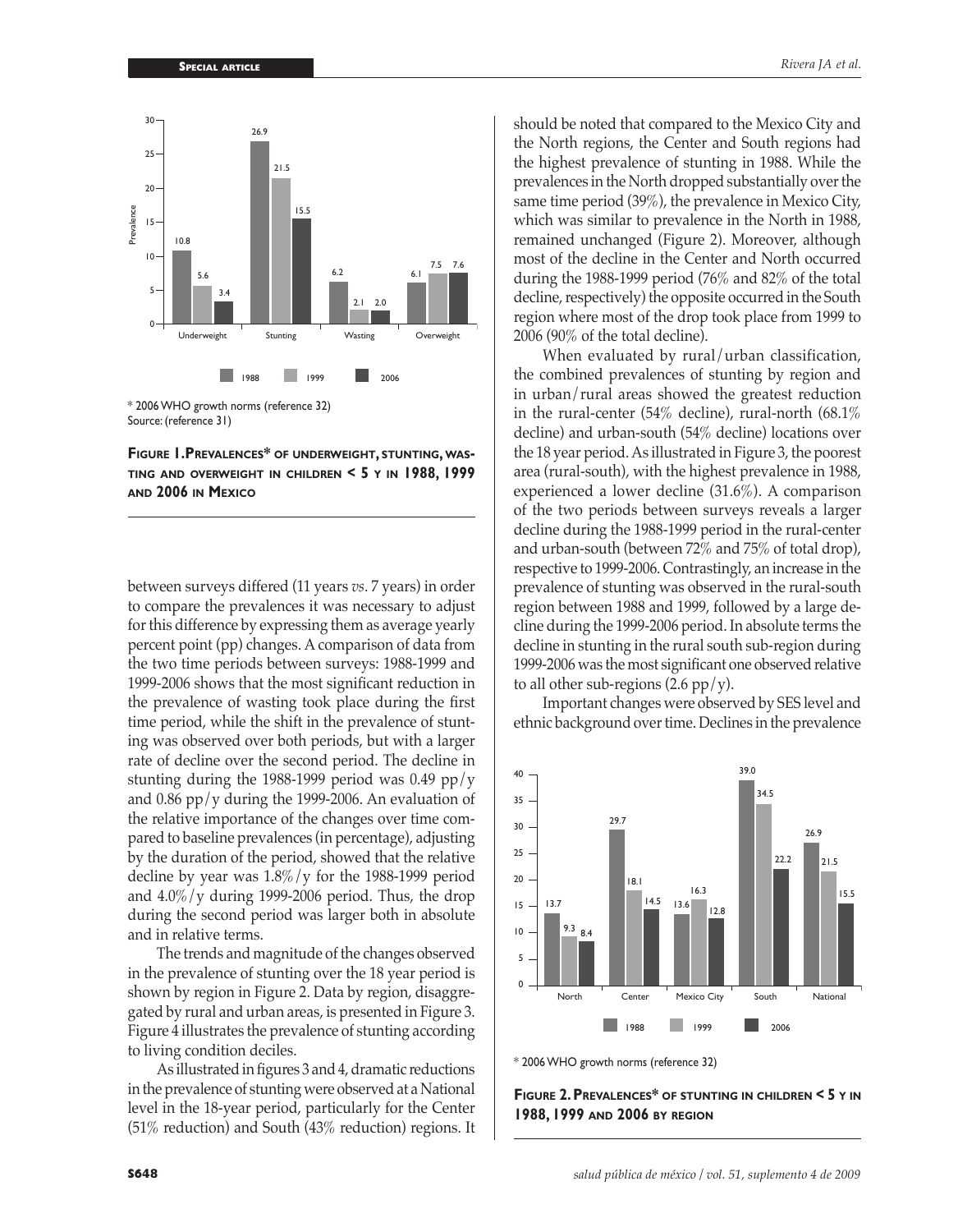

\* 2006 WHO growth norms (reference 32) Source: (reference 31)

**Figure 1.Prevalences\* of underweight, stunting, wasting and overweight in children < 5 y in 1988, 1999 and 2006 in Mexico**

between surveys differed (11 years *vs*. 7 years) in order to compare the prevalences it was necessary to adjust for this difference by expressing them as average yearly percent point (pp) changes. A comparison of data from the two time periods between surveys: 1988-1999 and 1999-2006 shows that the most significant reduction in the prevalence of wasting took place during the first time period, while the shift in the prevalence of stunting was observed over both periods, but with a larger rate of decline over the second period. The decline in stunting during the 1988-1999 period was 0.49 pp/y and 0.86 pp/y during the 1999-2006. An evaluation of the relative importance of the changes over time compared to baseline prevalences (in percentage), adjusting by the duration of the period, showed that the relative decline by year was  $1.8\% / y$  for the 1988-1999 period and 4.0%/y during 1999-2006 period. Thus, the drop during the second period was larger both in absolute and in relative terms.

The trends and magnitude of the changes observed in the prevalence of stunting over the 18 year period is shown by region in Figure 2. Data by region, disaggregated by rural and urban areas, is presented in Figure 3. Figure 4 illustrates the prevalence of stunting according to living condition deciles.

As illustrated in figures 3 and 4, dramatic reductions in the prevalence of stunting were observed at a National level in the 18-year period, particularly for the Center (51% reduction) and South (43% reduction) regions. It should be noted that compared to the Mexico City and the North regions, the Center and South regions had the highest prevalence of stunting in 1988. While the prevalences in the North dropped substantially over the same time period (39%), the prevalence in Mexico City, which was similar to prevalence in the North in 1988, remained unchanged (Figure 2). Moreover, although most of the decline in the Center and North occurred during the 1988-1999 period (76% and 82% of the total decline, respectively) the opposite occurred in the South region where most of the drop took place from 1999 to 2006 (90% of the total decline).

When evaluated by rural/urban classification, the combined prevalences of stunting by region and in urban/rural areas showed the greatest reduction in the rural-center (54% decline), rural-north (68.1% decline) and urban-south (54% decline) locations over the 18 year period. As illustrated in Figure 3, the poorest area (rural-south), with the highest prevalence in 1988, experienced a lower decline (31.6%). A comparison of the two periods between surveys reveals a larger decline during the 1988-1999 period in the rural-center and urban-south (between 72% and 75% of total drop), respective to 1999-2006. Contrastingly, an increase in the prevalence of stunting was observed in the rural-south region between 1988 and 1999, followed by a large decline during the 1999-2006 period. In absolute terms the decline in stunting in the rural south sub-region during 1999-2006 was the most significant one observed relative to all other sub-regions  $(2.6 \text{ pp}/\text{y})$ .

Important changes were observed by SES level and ethnic background over time. Declines in the prevalence



\* 2006 WHO growth norms (reference 32)

**Figure 2. Prevalences\* of stunting in children < 5 y in 1988, 1999 and 2006 by region**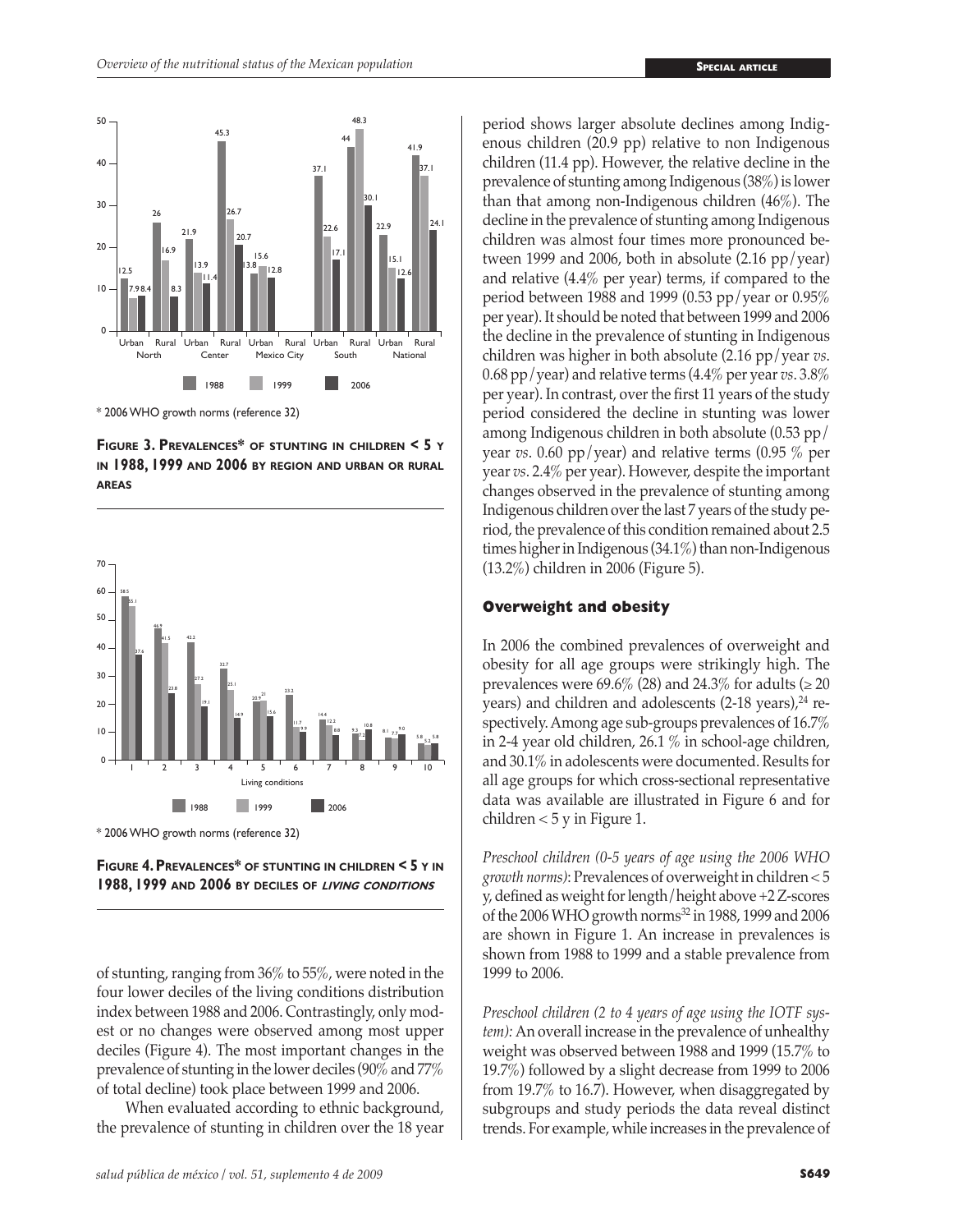

\* 2006 WHO growth norms (reference 32)

**Figure 3. Prevalences\* of stunting in children < 5 y in 1988, 1999 and 2006 by region and urban or rural areas**





of stunting, ranging from 36% to 55%, were noted in the four lower deciles of the living conditions distribution index between 1988 and 2006. Contrastingly, only modest or no changes were observed among most upper deciles (Figure 4). The most important changes in the prevalence of stunting in the lower deciles (90% and 77% of total decline) took place between 1999 and 2006.

When evaluated according to ethnic background, the prevalence of stunting in children over the 18 year

*salud pública de méxico / vol. 51, suplemento 4 de 2009* **S649**

period shows larger absolute declines among Indigenous children (20.9 pp) relative to non Indigenous children (11.4 pp). However, the relative decline in the prevalence of stunting among Indigenous (38%) is lower than that among non-Indigenous children (46%). The decline in the prevalence of stunting among Indigenous children was almost four times more pronounced between 1999 and 2006, both in absolute (2.16 pp/year) and relative (4.4% per year) terms, if compared to the period between 1988 and 1999 (0.53 pp/year or 0.95% per year). It should be noted that between 1999 and 2006 the decline in the prevalence of stunting in Indigenous children was higher in both absolute (2.16 pp/year *vs*. 0.68 pp/year) and relative terms (4.4% per year *vs*. 3.8% per year). In contrast, over the first 11 years of the study period considered the decline in stunting was lower among Indigenous children in both absolute (0.53 pp/ year *vs*. 0.60 pp/year) and relative terms (0.95 % per year *vs*. 2.4% per year). However, despite the important changes observed in the prevalence of stunting among Indigenous children over the last 7 years of the study period, the prevalence of this condition remained about 2.5 times higher in Indigenous (34.1%) than non-Indigenous (13.2%) children in 2006 (Figure 5).

### **Overweight and obesity**

In 2006 the combined prevalences of overweight and obesity for all age groups were strikingly high. The prevalences were 69.6% (28) and 24.3% for adults ( $\geq 20$ years) and children and adolescents  $(2-18 \text{ years})$ ,<sup>24</sup> respectively. Among age sub-groups prevalences of 16.7% in 2-4 year old children, 26.1 % in school-age children, and 30.1% in adolescents were documented. Results for all age groups for which cross-sectional representative data was available are illustrated in Figure 6 and for children  $<$  5 y in Figure 1.

*Preschool children (0-5 years of age using the 2006 WHO growth norms)*: Prevalences of overweight in children < 5 y, defined as weight for length/height above +2 Z-scores of the 2006 WHO growth norms32 in 1988, 1999 and 2006 are shown in Figure 1. An increase in prevalences is shown from 1988 to 1999 and a stable prevalence from 1999 to 2006.

*Preschool children (2 to 4 years of age using the IOTF system):* An overall increase in the prevalence of unhealthy weight was observed between 1988 and 1999 (15.7% to 19.7%) followed by a slight decrease from 1999 to 2006 from 19.7% to 16.7). However, when disaggregated by subgroups and study periods the data reveal distinct trends. For example, while increases in the prevalence of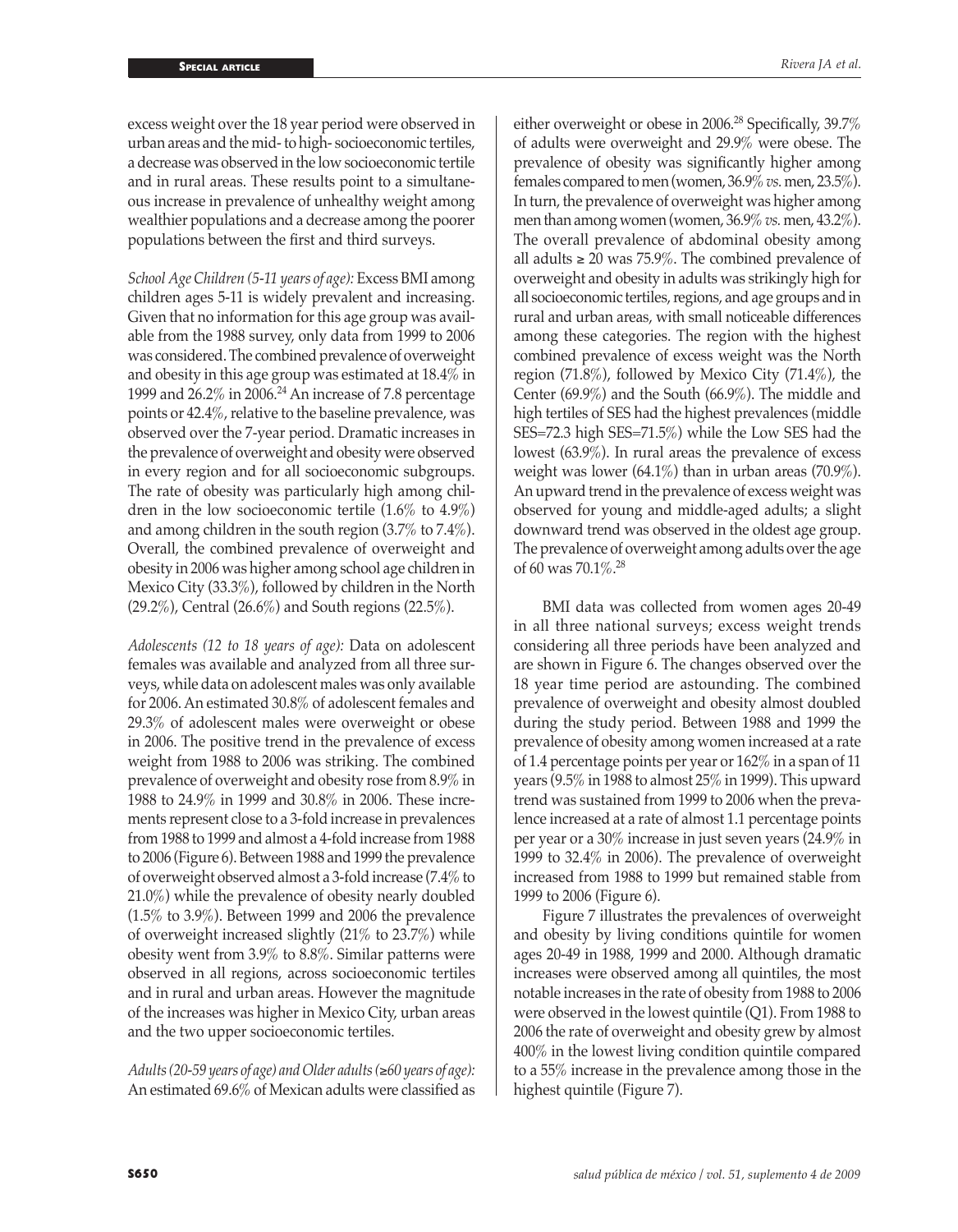excess weight over the 18 year period were observed in urban areas and the mid- to high- socioeconomic tertiles, a decrease was observed in the low socioeconomic tertile and in rural areas. These results point to a simultaneous increase in prevalence of unhealthy weight among wealthier populations and a decrease among the poorer populations between the first and third surveys.

*School Age Children (5-11 years of age):* Excess BMI among children ages 5-11 is widely prevalent and increasing. Given that no information for this age group was available from the 1988 survey, only data from 1999 to 2006 was considered. The combined prevalence of overweight and obesity in this age group was estimated at 18.4% in 1999 and 26.2% in 2006.24 An increase of 7.8 percentage points or 42.4%, relative to the baseline prevalence, was observed over the 7-year period. Dramatic increases in the prevalence of overweight and obesity were observed in every region and for all socioeconomic subgroups. The rate of obesity was particularly high among children in the low socioeconomic tertile (1.6% to 4.9%) and among children in the south region (3.7% to 7.4%). Overall, the combined prevalence of overweight and obesity in 2006 was higher among school age children in Mexico City (33.3%), followed by children in the North (29.2%), Central (26.6%) and South regions (22.5%).

*Adolescents (12 to 18 years of age):* Data on adolescent females was available and analyzed from all three surveys, while data on adolescent males was only available for 2006. An estimated 30.8% of adolescent females and 29.3% of adolescent males were overweight or obese in 2006. The positive trend in the prevalence of excess weight from 1988 to 2006 was striking. The combined prevalence of overweight and obesity rose from 8.9% in 1988 to 24.9% in 1999 and 30.8% in 2006. These increments represent close to a 3-fold increase in prevalences from 1988 to 1999 and almost a 4-fold increase from 1988 to 2006 (Figure 6). Between 1988 and 1999 the prevalence of overweight observed almost a 3-fold increase (7.4% to 21.0%) while the prevalence of obesity nearly doubled (1.5% to 3.9%). Between 1999 and 2006 the prevalence of overweight increased slightly (21% to 23.7%) while obesity went from 3.9% to 8.8%. Similar patterns were observed in all regions, across socioeconomic tertiles and in rural and urban areas. However the magnitude of the increases was higher in Mexico City, urban areas and the two upper socioeconomic tertiles.

*Adults (20-59 years of age) and Older adults (*≥*60 years of age):*  An estimated 69.6% of Mexican adults were classified as

either overweight or obese in 2006.<sup>28</sup> Specifically, 39.7% of adults were overweight and 29.9% were obese. The prevalence of obesity was significantly higher among females compared to men (women, 36.9% *vs.* men, 23.5%). In turn, the prevalence of overweight was higher among men than among women (women, 36.9% *vs.* men, 43.2%). The overall prevalence of abdominal obesity among all adults ≥ 20 was 75.9%. The combined prevalence of overweight and obesity in adults was strikingly high for all socioeconomic tertiles, regions, and age groups and in rural and urban areas, with small noticeable differences among these categories. The region with the highest combined prevalence of excess weight was the North region (71.8%), followed by Mexico City (71.4%), the Center (69.9%) and the South (66.9%). The middle and high tertiles of SES had the highest prevalences (middle SES=72.3 high SES=71.5%) while the Low SES had the lowest (63.9%). In rural areas the prevalence of excess weight was lower (64.1%) than in urban areas (70.9%). An upward trend in the prevalence of excess weight was observed for young and middle-aged adults; a slight downward trend was observed in the oldest age group. The prevalence of overweight among adults over the age of 60 was 70.1%.28

BMI data was collected from women ages 20-49 in all three national surveys; excess weight trends considering all three periods have been analyzed and are shown in Figure 6. The changes observed over the 18 year time period are astounding. The combined prevalence of overweight and obesity almost doubled during the study period. Between 1988 and 1999 the prevalence of obesity among women increased at a rate of 1.4 percentage points per year or 162% in a span of 11 years (9.5% in 1988 to almost 25% in 1999). This upward trend was sustained from 1999 to 2006 when the prevalence increased at a rate of almost 1.1 percentage points per year or a 30% increase in just seven years (24.9% in 1999 to 32.4% in 2006). The prevalence of overweight increased from 1988 to 1999 but remained stable from 1999 to 2006 (Figure 6).

Figure 7 illustrates the prevalences of overweight and obesity by living conditions quintile for women ages 20-49 in 1988, 1999 and 2000. Although dramatic increases were observed among all quintiles, the most notable increases in the rate of obesity from 1988 to 2006 were observed in the lowest quintile (Q1). From 1988 to 2006 the rate of overweight and obesity grew by almost 400% in the lowest living condition quintile compared to a 55% increase in the prevalence among those in the highest quintile (Figure 7).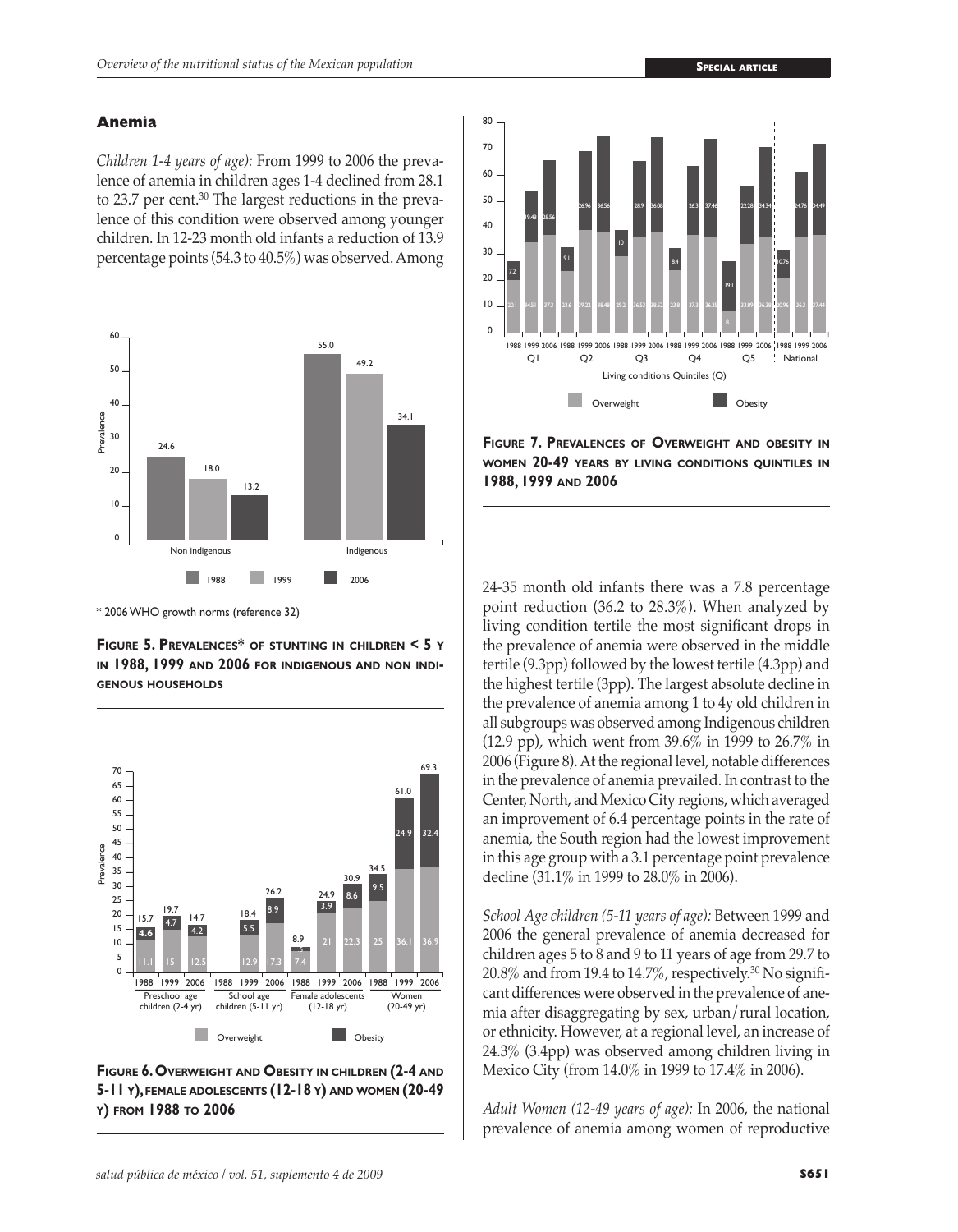## **Anemia**

*Children 1-4 years of age):* From 1999 to 2006 the prevalence of anemia in children ages 1-4 declined from 28.1 to 23.7 per cent.<sup>30</sup> The largest reductions in the prevalence of this condition were observed among younger children. In 12-23 month old infants a reduction of 13.9 percentage points (54.3 to 40.5%) was observed. Among



\* 2006 WHO growth norms (reference 32)

**Figure 5. Prevalences\* of stunting in children < 5 y in 1988, 1999 and 2006 for indigenous and non indigenous households**



**Figure 6. Overweight and Obesity in children (2-4 and 5-11 y), female adolescents (12-18 y) and women (20-49 y) from 1988 to 2006**



**Figure 7. Prevalences of Overweight and obesity in women 20-49 years by living conditions quintiles in 1988, 1999 and 2006**

24-35 month old infants there was a 7.8 percentage point reduction (36.2 to 28.3%). When analyzed by living condition tertile the most significant drops in the prevalence of anemia were observed in the middle tertile (9.3pp) followed by the lowest tertile (4.3pp) and the highest tertile (3pp). The largest absolute decline in the prevalence of anemia among 1 to 4y old children in all subgroups was observed among Indigenous children (12.9 pp), which went from 39.6% in 1999 to 26.7% in 2006 (Figure 8). At the regional level, notable differences in the prevalence of anemia prevailed. In contrast to the Center, North, and Mexico City regions, which averaged an improvement of 6.4 percentage points in the rate of anemia, the South region had the lowest improvement in this age group with a 3.1 percentage point prevalence decline (31.1% in 1999 to 28.0% in 2006).

*School Age children (5-11 years of age):* Between 1999 and 2006 the general prevalence of anemia decreased for children ages 5 to 8 and 9 to 11 years of age from 29.7 to  $20.8\%$  and from 19.4 to 14.7%, respectively.<sup>30</sup> No significant differences were observed in the prevalence of anemia after disaggregating by sex, urban/rural location, or ethnicity. However, at a regional level, an increase of 24.3% (3.4pp) was observed among children living in Mexico City (from 14.0% in 1999 to 17.4% in 2006).

*Adult Women (12-49 years of age):* In 2006, the national prevalence of anemia among women of reproductive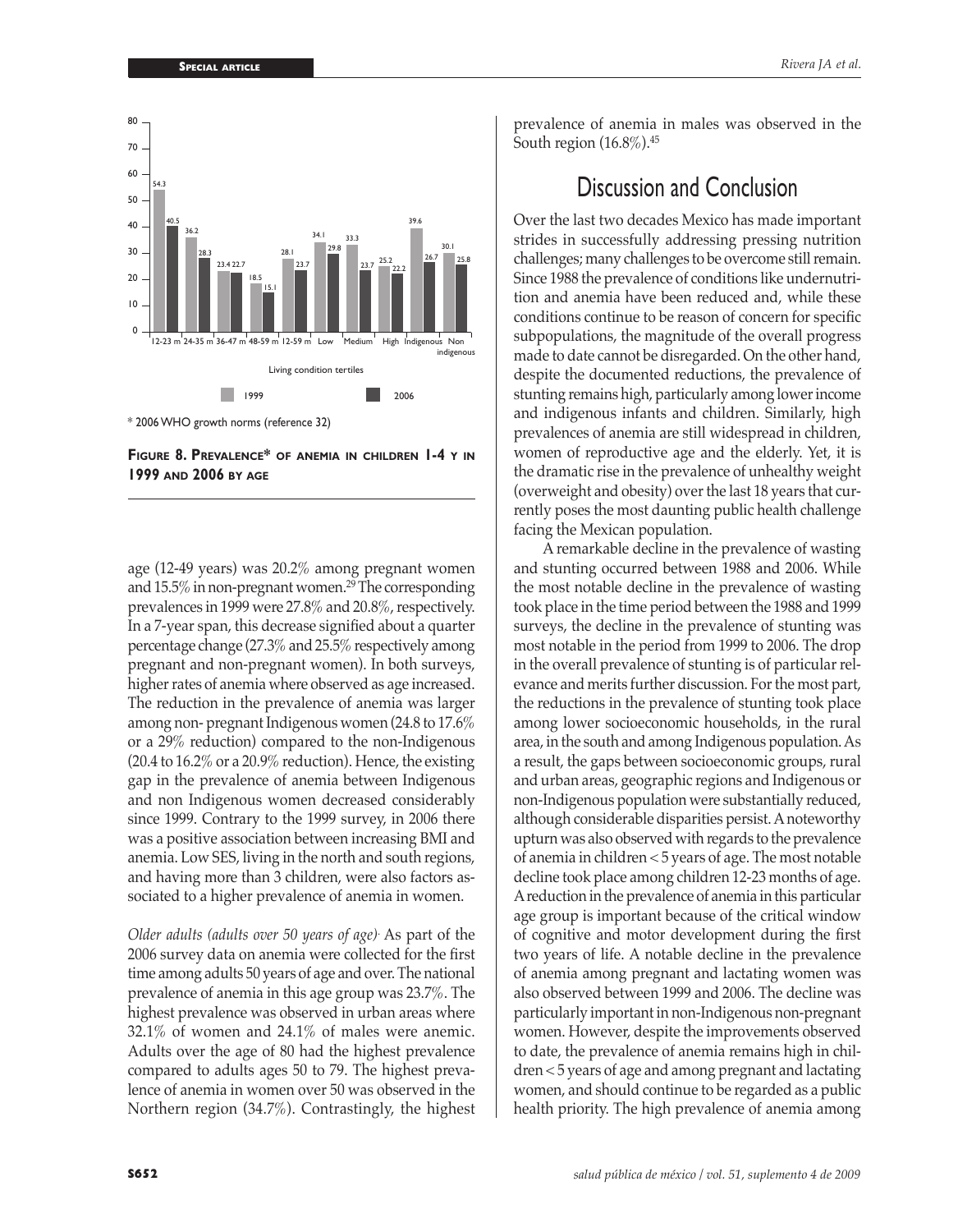



age (12-49 years) was 20.2% among pregnant women and  $15.5\%$  in non-pregnant women.<sup>29</sup> The corresponding prevalences in 1999 were 27.8% and 20.8%, respectively. In a 7-year span, this decrease signified about a quarter percentage change (27.3% and 25.5% respectively among pregnant and non-pregnant women). In both surveys, higher rates of anemia where observed as age increased. The reduction in the prevalence of anemia was larger among non- pregnant Indigenous women (24.8 to 17.6% or a 29% reduction) compared to the non-Indigenous (20.4 to 16.2% or a 20.9% reduction). Hence, the existing gap in the prevalence of anemia between Indigenous and non Indigenous women decreased considerably since 1999. Contrary to the 1999 survey, in 2006 there was a positive association between increasing BMI and anemia. Low SES, living in the north and south regions, and having more than 3 children, were also factors associated to a higher prevalence of anemia in women.

*Older adults (adults over 50 years of age)*. As part of the 2006 survey data on anemia were collected for the first time among adults 50 years of age and over. The national prevalence of anemia in this age group was 23.7%. The highest prevalence was observed in urban areas where 32.1% of women and 24.1% of males were anemic. Adults over the age of 80 had the highest prevalence compared to adults ages 50 to 79. The highest prevalence of anemia in women over 50 was observed in the Northern region (34.7%). Contrastingly, the highest prevalence of anemia in males was observed in the South region  $(16.8\%)$ .<sup>45</sup>

# Discussion and Conclusion

Over the last two decades Mexico has made important strides in successfully addressing pressing nutrition challenges; many challenges to be overcome still remain. Since 1988 the prevalence of conditions like undernutrition and anemia have been reduced and, while these conditions continue to be reason of concern for specific subpopulations, the magnitude of the overall progress made to date cannot be disregarded. On the other hand, despite the documented reductions, the prevalence of stunting remains high, particularly among lower income and indigenous infants and children. Similarly, high prevalences of anemia are still widespread in children, women of reproductive age and the elderly. Yet, it is the dramatic rise in the prevalence of unhealthy weight (overweight and obesity) over the last 18 years that currently poses the most daunting public health challenge facing the Mexican population.

A remarkable decline in the prevalence of wasting and stunting occurred between 1988 and 2006. While the most notable decline in the prevalence of wasting took place in the time period between the 1988 and 1999 surveys, the decline in the prevalence of stunting was most notable in the period from 1999 to 2006. The drop in the overall prevalence of stunting is of particular relevance and merits further discussion. For the most part, the reductions in the prevalence of stunting took place among lower socioeconomic households, in the rural area, in the south and among Indigenous population. As a result, the gaps between socioeconomic groups, rural and urban areas, geographic regions and Indigenous or non-Indigenous population were substantially reduced, although considerable disparities persist. A noteworthy upturn was also observed with regards to the prevalence of anemia in children < 5 years of age. The most notable decline took place among children 12-23 months of age. A reduction in the prevalence of anemia in this particular age group is important because of the critical window of cognitive and motor development during the first two years of life. A notable decline in the prevalence of anemia among pregnant and lactating women was also observed between 1999 and 2006. The decline was particularly important in non-Indigenous non-pregnant women. However, despite the improvements observed to date, the prevalence of anemia remains high in children < 5 years of age and among pregnant and lactating women, and should continue to be regarded as a public health priority. The high prevalence of anemia among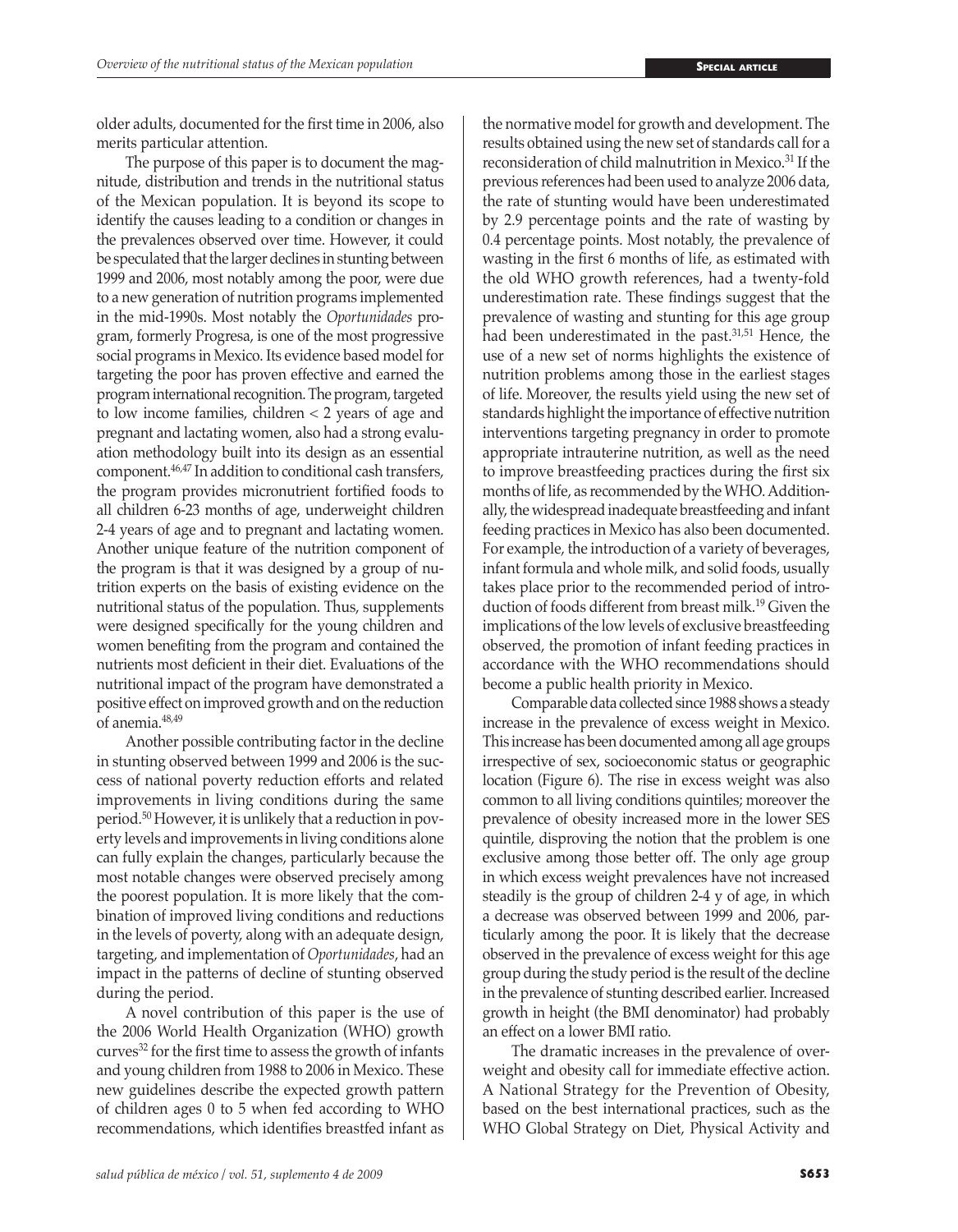older adults, documented for the first time in 2006, also merits particular attention.

The purpose of this paper is to document the magnitude, distribution and trends in the nutritional status of the Mexican population. It is beyond its scope to identify the causes leading to a condition or changes in the prevalences observed over time. However, it could be speculated that the larger declines in stunting between 1999 and 2006, most notably among the poor, were due to a new generation of nutrition programs implemented in the mid-1990s. Most notably the *Oportunidades* program, formerly Progresa, is one of the most progressive social programs in Mexico. Its evidence based model for targeting the poor has proven effective and earned the program international recognition. The program, targeted to low income families, children < 2 years of age and pregnant and lactating women, also had a strong evaluation methodology built into its design as an essential component.46,47 In addition to conditional cash transfers, the program provides micronutrient fortified foods to all children 6-23 months of age, underweight children 2-4 years of age and to pregnant and lactating women. Another unique feature of the nutrition component of the program is that it was designed by a group of nutrition experts on the basis of existing evidence on the nutritional status of the population. Thus, supplements were designed specifically for the young children and women benefiting from the program and contained the nutrients most deficient in their diet. Evaluations of the nutritional impact of the program have demonstrated a positive effect on improved growth and on the reduction of anemia.48,49

Another possible contributing factor in the decline in stunting observed between 1999 and 2006 is the success of national poverty reduction efforts and related improvements in living conditions during the same period.50 However, it is unlikely that a reduction in poverty levels and improvements in living conditions alone can fully explain the changes, particularly because the most notable changes were observed precisely among the poorest population. It is more likely that the combination of improved living conditions and reductions in the levels of poverty, along with an adequate design, targeting, and implementation of *Oportunidades*, had an impact in the patterns of decline of stunting observed during the period.

A novel contribution of this paper is the use of the 2006 World Health Organization (WHO) growth  $curves<sup>32</sup>$  for the first time to assess the growth of infants and young children from 1988 to 2006 in Mexico. These new guidelines describe the expected growth pattern of children ages 0 to 5 when fed according to WHO recommendations, which identifies breastfed infant as the normative model for growth and development. The results obtained using the new set of standards call for a reconsideration of child malnutrition in Mexico.31 If the previous references had been used to analyze 2006 data, the rate of stunting would have been underestimated by 2.9 percentage points and the rate of wasting by 0.4 percentage points. Most notably, the prevalence of wasting in the first 6 months of life, as estimated with the old WHO growth references, had a twenty-fold underestimation rate. These findings suggest that the prevalence of wasting and stunting for this age group had been underestimated in the past.31,51 Hence, the use of a new set of norms highlights the existence of nutrition problems among those in the earliest stages of life. Moreover, the results yield using the new set of standards highlight the importance of effective nutrition interventions targeting pregnancy in order to promote appropriate intrauterine nutrition, as well as the need to improve breastfeeding practices during the first six months of life, as recommended by the WHO. Additionally, the widespread inadequate breastfeeding and infant feeding practices in Mexico has also been documented. For example, the introduction of a variety of beverages, infant formula and whole milk, and solid foods, usually takes place prior to the recommended period of introduction of foods different from breast milk.19 Given the implications of the low levels of exclusive breastfeeding observed, the promotion of infant feeding practices in accordance with the WHO recommendations should become a public health priority in Mexico.

Comparable data collected since 1988 shows a steady increase in the prevalence of excess weight in Mexico. This increase has been documented among all age groups irrespective of sex, socioeconomic status or geographic location (Figure 6). The rise in excess weight was also common to all living conditions quintiles; moreover the prevalence of obesity increased more in the lower SES quintile, disproving the notion that the problem is one exclusive among those better off. The only age group in which excess weight prevalences have not increased steadily is the group of children 2-4 y of age, in which a decrease was observed between 1999 and 2006, particularly among the poor. It is likely that the decrease observed in the prevalence of excess weight for this age group during the study period is the result of the decline in the prevalence of stunting described earlier. Increased growth in height (the BMI denominator) had probably an effect on a lower BMI ratio.

The dramatic increases in the prevalence of overweight and obesity call for immediate effective action. A National Strategy for the Prevention of Obesity, based on the best international practices, such as the WHO Global Strategy on Diet, Physical Activity and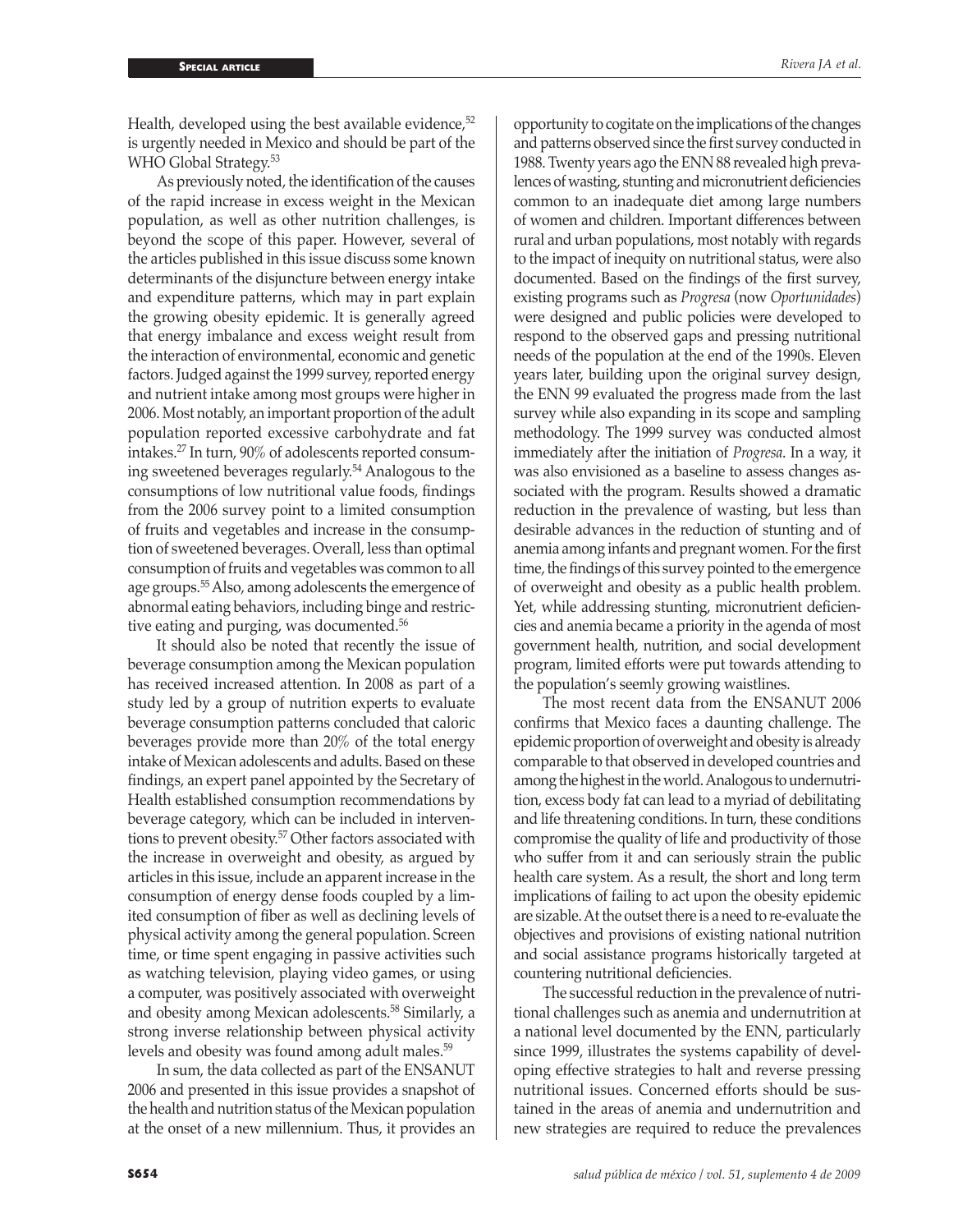Health, developed using the best available evidence,<sup>52</sup> is urgently needed in Mexico and should be part of the WHO Global Strategy.<sup>53</sup>

As previously noted, the identification of the causes of the rapid increase in excess weight in the Mexican population, as well as other nutrition challenges, is beyond the scope of this paper. However, several of the articles published in this issue discuss some known determinants of the disjuncture between energy intake and expenditure patterns, which may in part explain the growing obesity epidemic. It is generally agreed that energy imbalance and excess weight result from the interaction of environmental, economic and genetic factors. Judged against the 1999 survey, reported energy and nutrient intake among most groups were higher in 2006. Most notably, an important proportion of the adult population reported excessive carbohydrate and fat intakes.27 In turn, 90% of adolescents reported consuming sweetened beverages regularly.54 Analogous to the consumptions of low nutritional value foods, findings from the 2006 survey point to a limited consumption of fruits and vegetables and increase in the consumption of sweetened beverages. Overall, less than optimal consumption of fruits and vegetables was common to all age groups.55 Also, among adolescents the emergence of abnormal eating behaviors, including binge and restrictive eating and purging, was documented.<sup>56</sup>

It should also be noted that recently the issue of beverage consumption among the Mexican population has received increased attention. In 2008 as part of a study led by a group of nutrition experts to evaluate beverage consumption patterns concluded that caloric beverages provide more than 20% of the total energy intake of Mexican adolescents and adults. Based on these findings, an expert panel appointed by the Secretary of Health established consumption recommendations by beverage category, which can be included in interventions to prevent obesity.57 Other factors associated with the increase in overweight and obesity, as argued by articles in this issue, include an apparent increase in the consumption of energy dense foods coupled by a limited consumption of fiber as well as declining levels of physical activity among the general population. Screen time, or time spent engaging in passive activities such as watching television, playing video games, or using a computer, was positively associated with overweight and obesity among Mexican adolescents.58 Similarly, a strong inverse relationship between physical activity levels and obesity was found among adult males.<sup>59</sup>

In sum, the data collected as part of the ENSANUT 2006 and presented in this issue provides a snapshot of the health and nutrition status of the Mexican population at the onset of a new millennium. Thus, it provides an

opportunity to cogitate on the implications of the changes and patterns observed since the first survey conducted in 1988. Twenty years ago the ENN 88 revealed high prevalences of wasting, stunting and micronutrient deficiencies common to an inadequate diet among large numbers of women and children. Important differences between rural and urban populations, most notably with regards to the impact of inequity on nutritional status, were also documented. Based on the findings of the first survey, existing programs such as *Progresa* (now *Oportunidades*) were designed and public policies were developed to respond to the observed gaps and pressing nutritional needs of the population at the end of the 1990s. Eleven years later, building upon the original survey design, the ENN 99 evaluated the progress made from the last survey while also expanding in its scope and sampling methodology. The 1999 survey was conducted almost immediately after the initiation of *Progresa*. In a way, it was also envisioned as a baseline to assess changes associated with the program. Results showed a dramatic reduction in the prevalence of wasting, but less than desirable advances in the reduction of stunting and of anemia among infants and pregnant women. For the first time, the findings of this survey pointed to the emergence of overweight and obesity as a public health problem. Yet, while addressing stunting, micronutrient deficiencies and anemia became a priority in the agenda of most government health, nutrition, and social development program, limited efforts were put towards attending to the population's seemly growing waistlines.

The most recent data from the ENSANUT 2006 confirms that Mexico faces a daunting challenge. The epidemic proportion of overweight and obesity is already comparable to that observed in developed countries and among the highest in the world. Analogous to undernutrition, excess body fat can lead to a myriad of debilitating and life threatening conditions. In turn, these conditions compromise the quality of life and productivity of those who suffer from it and can seriously strain the public health care system. As a result, the short and long term implications of failing to act upon the obesity epidemic are sizable. At the outset there is a need to re-evaluate the objectives and provisions of existing national nutrition and social assistance programs historically targeted at countering nutritional deficiencies.

The successful reduction in the prevalence of nutritional challenges such as anemia and undernutrition at a national level documented by the ENN, particularly since 1999, illustrates the systems capability of developing effective strategies to halt and reverse pressing nutritional issues. Concerned efforts should be sustained in the areas of anemia and undernutrition and new strategies are required to reduce the prevalences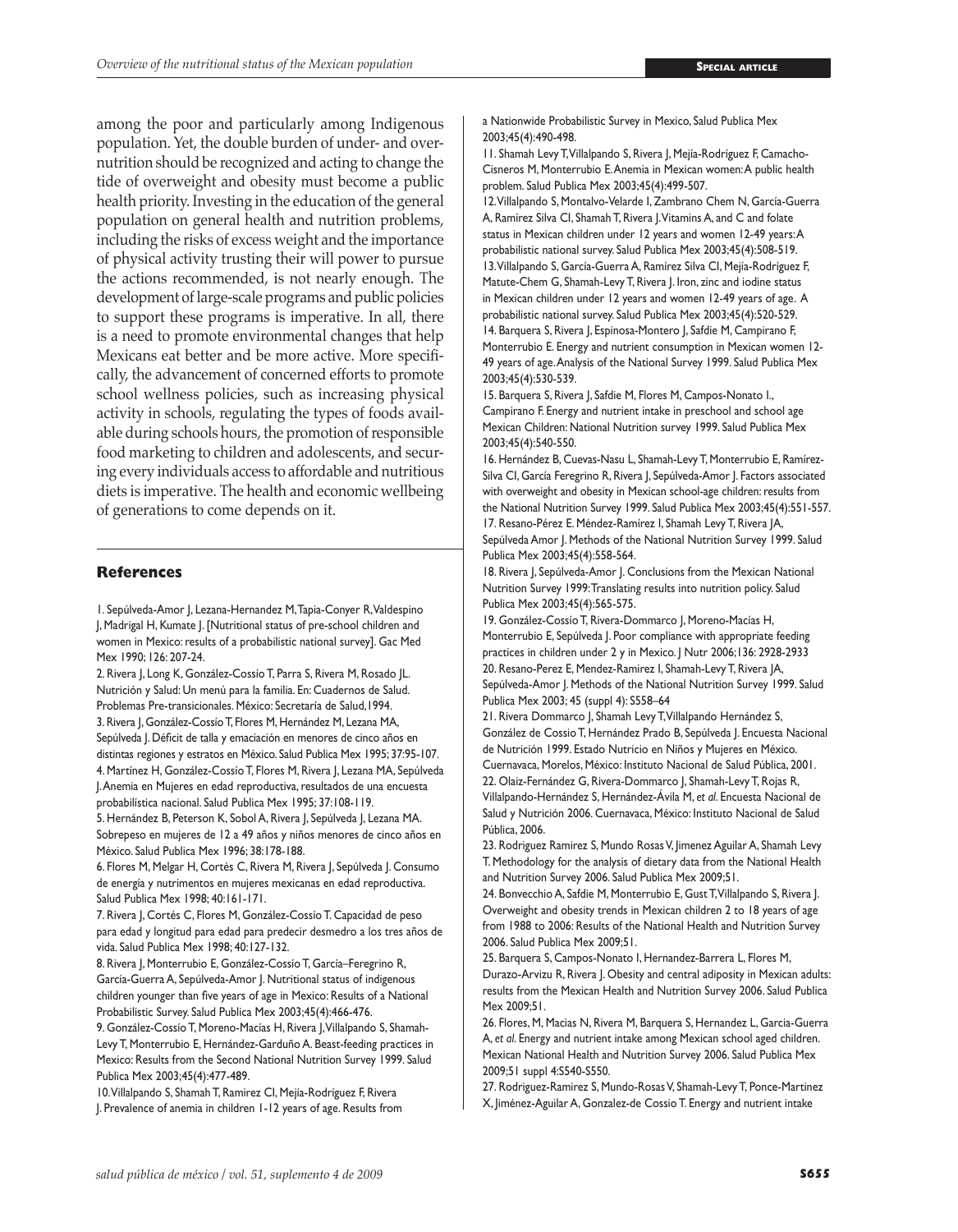among the poor and particularly among Indigenous population. Yet, the double burden of under- and overnutrition should be recognized and acting to change the tide of overweight and obesity must become a public health priority. Investing in the education of the general population on general health and nutrition problems, including the risks of excess weight and the importance of physical activity trusting their will power to pursue the actions recommended, is not nearly enough. The development of large-scale programs and public policies to support these programs is imperative. In all, there is a need to promote environmental changes that help Mexicans eat better and be more active. More specifically, the advancement of concerned efforts to promote school wellness policies, such as increasing physical activity in schools, regulating the types of foods available during schools hours, the promotion of responsible food marketing to children and adolescents, and securing every individuals access to affordable and nutritious diets is imperative. The health and economic wellbeing of generations to come depends on it.

#### **References**

1. Sepúlveda-Amor J, Lezana-Hernandez M, Tapia-Conyer R, Valdespino J, Madrigal H, Kumate J. [Nutritional status of pre-school children and women in Mexico: results of a probabilistic national survey]. Gac Med Mex 1990; 126: 207-24.

2. Rivera J, Long K, González-Cossío T, Parra S, Rivera M, Rosado JL. Nutrición y Salud: Un menú para la familia. En: Cuadernos de Salud. Problemas Pre-transicionales. México: Secretaría de Salud,1994. 3. Rivera J, González-Cossío T, Flores M, Hernández M, Lezana MA,

Sepúlveda J. Déficit de talla y emaciación en menores de cinco años en distintas regiones y estratos en México. Salud Publica Mex 1995; 37:95-107. 4. Martínez H, González-Cossío T, Flores M, Rivera J, Lezana MA, Sepúlveda J. Anemia en Mujeres en edad reproductiva, resultados de una encuesta

probabilística nacional. Salud Publica Mex 1995; 37:108-119.

5. Hernández B, Peterson K, Sobol A, Rivera J, Sepúlveda J, Lezana MA. Sobrepeso en mujeres de 12 a 49 años y niños menores de cinco años en México. Salud Publica Mex 1996; 38:178-188.

6. Flores M, Melgar H, Cortés C, Rivera M, Rivera J, Sepúlveda J. Consumo de energía y nutrimentos en mujeres mexicanas en edad reproductiva. Salud Publica Mex 1998; 40:161-171.

7. Rivera J, Cortés C, Flores M, González-Cossío T. Capacidad de peso para edad y longitud para edad para predecir desmedro a los tres años de vida. Salud Publica Mex 1998; 40:127-132.

8. Rivera J, Monterrubio E, González-Cossío T, García–Feregrino R, García-Guerra A, Sepúlveda-Amor J. Nutritional status of indigenous children younger than five years of age in Mexico: Results of a National Probabilistic Survey. Salud Publica Mex 2003;45(4):466-476.

9. González-Cossío T, Moreno-Macías H, Rivera J, Villalpando S, Shamah-Levy T, Monterrubio E, Hernández-Garduño A. Beast-feeding practices in Mexico: Results from the Second National Nutrition Survey 1999. Salud Publica Mex 2003;45(4):477-489.

10. Villalpando S, Shamah T, Ramirez CI, Mejía-Rodríguez F, Rivera J. Prevalence of anemia in children 1-12 years of age. Results from a Nationwide Probabilistic Survey in Mexico, Salud Publica Mex 2003;45(4):490-498.

11. Shamah Levy T, Villalpando S, Rivera J, Mejía-Rodríguez F, Camacho-Cisneros M, Monterrubio E. Anemia in Mexican women: A public health problem. Salud Publica Mex 2003;45(4):499-507.

12. Villalpando S, Montalvo-Velarde I, Zambrano Chem N, García-Guerra A, Ramírez Silva CI, Shamah T, Rivera J. Vitamins A, and C and folate status in Mexican children under 12 years and women 12-49 years: A probabilistic national survey. Salud Publica Mex 2003;45(4):508-519. 13. Villalpando S, García-Guerra A, Ramírez Silva CI, Mejía-Rodríguez F, Matute-Chem G, Shamah-Levy T, Rivera J. Iron, zinc and iodine status in Mexican children under 12 years and women 12-49 years of age. A probabilistic national survey. Salud Publica Mex 2003;45(4):520-529. 14. Barquera S, Rivera J, Espinosa-Montero J, Safdie M, Campirano F, Monterrubio E. Energy and nutrient consumption in Mexican women 12- 49 years of age. Analysis of the National Survey 1999. Salud Publica Mex 2003;45(4):530-539.

15. Barquera S, Rivera J, Safdie M, Flores M, Campos-Nonato I., Campirano F. Energy and nutrient intake in preschool and school age Mexican Children: National Nutrition survey 1999. Salud Publica Mex 2003;45(4):540-550.

16. Hernández B, Cuevas-Nasu L, Shamah-Levy T, Monterrubio E, Ramírez-Silva CI, García Feregrino R, Rivera J, Sepúlveda-Amor J. Factors associated with overweight and obesity in Mexican school-age children: results from the National Nutrition Survey 1999. Salud Publica Mex 2003;45(4):551-557. 17. Resano-Pérez E. Méndez-Ramírez I, Shamah Levy T, Rivera JA, Sepúlveda Amor J. Methods of the National Nutrition Survey 1999. Salud Publica Mex 2003;45(4):558-564.

18. Rivera J, Sepúlveda-Amor J. Conclusions from the Mexican National Nutrition Survey 1999: Translating results into nutrition policy. Salud Publica Mex 2003;45(4):565-575.

19. González-Cossío T, Rivera-Dommarco J, Moreno-Macías H, Monterrubio E, Sepúlveda J. Poor compliance with appropriate feeding practices in children under 2 y in Mexico. J Nutr 2006;136: 2928-2933 20. Resano-Perez E, Mendez-Ramirez I, Shamah-Levy T, Rivera JA, Sepúlveda-Amor J. Methods of the National Nutrition Survey 1999. Salud Publica Mex 2003; 45 (suppl 4): S558–64

21. Rivera Dommarco J, Shamah Levy T, Villalpando Hernández S, González de Cossio T, Hernández Prado B, Sepúlveda J. Encuesta Nacional de Nutrición 1999. Estado Nutricio en Niños y Mujeres en México. Cuernavaca, Morelos, México: Instituto Nacional de Salud Pública, 2001. 22. Olaiz-Fernández G, Rivera-Dommarco J, Shamah-Levy T, Rojas R, Villalpando-Hernández S, Hernández-Ávila M, *et al*. Encuesta Nacional de Salud y Nutrición 2006. Cuernavaca, México: Instituto Nacional de Salud Pública, 2006.

23. Rodriguez Ramirez S, Mundo Rosas V, Jimenez Aguilar A, Shamah Levy T. Methodology for the analysis of dietary data from the National Health and Nutrition Survey 2006. Salud Publica Mex 2009;51.

24. Bonvecchio A, Safdie M, Monterrubio E, Gust T, Villalpando S, Rivera J. Overweight and obesity trends in Mexican children 2 to 18 years of age from 1988 to 2006: Results of the National Health and Nutrition Survey 2006. Salud Publica Mex 2009;51.

25. Barquera S, Campos-Nonato I, Hernandez-Barrera L, Flores M, Durazo-Arvizu R, Rivera J. Obesity and central adiposity in Mexican adults: results from the Mexican Health and Nutrition Survey 2006. Salud Publica Mex 2009;51.

26. Flores, M, Macias N, Rivera M, Barquera S, Hernandez L, Garcia-Guerra A, *et al*. Energy and nutrient intake among Mexican school aged children. Mexican National Health and Nutrition Survey 2006. Salud Publica Mex 2009;51 suppl 4:S540-S550.

27. Rodriguez-Ramirez S, Mundo-Rosas V, Shamah-Levy T, Ponce-Martinez X, Jiménez-Aguilar A, Gonzalez-de Cossio T. Energy and nutrient intake